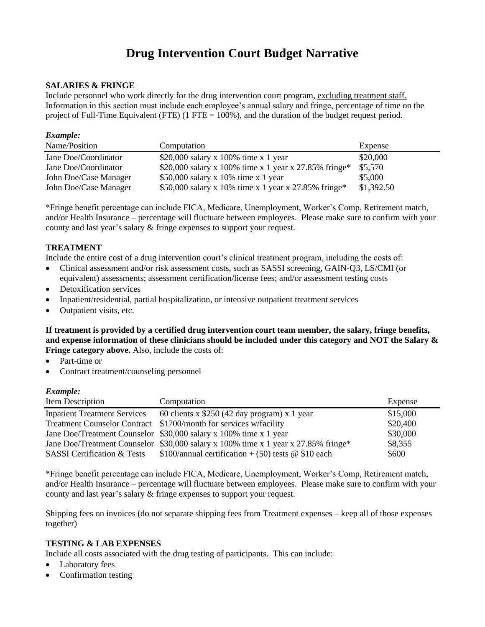# **Drug Intervention Court Budget Narrative**

## **SALARIES & FRINGE**

Include personnel who work directly for the drug intervention court program, excluding treatment staff. Information in this section must include each employee's annual salary and fringe, percentage of time on the project of Full-Time Equivalent (FTE) (1 FTE  $= 100\%$ ), and the duration of the budget request period.

#### *Example:*

| Name/Position         | Computation                                           | Expense    |
|-----------------------|-------------------------------------------------------|------------|
| Jane Doe/Coordinator  | \$20,000 salary x 100% time x 1 year                  | \$20,000   |
| Jane Doe/Coordinator  | \$20,000 salary x 100% time x 1 year x 27.85% fringe* | \$5,570    |
| John Doe/Case Manager | \$50,000 salary x 10% time x 1 year                   | \$5,000    |
| John Doe/Case Manager | \$50,000 salary x 10% time x 1 year x 27.85% fringe*  | \$1,392.50 |

\*Fringe benefit percentage can include FICA, Medicare, Unemployment, Worker's Comp, Retirement match, and/or Health Insurance – percentage will fluctuate between employees. Please make sure to confirm with your county and last year's salary & fringe expenses to support your request.

# **TREATMENT**

Include the entire cost of a drug intervention court's clinical treatment program, including the costs of:

- Clinical assessment and/or risk assessment costs, such as SASSI screening, GAIN-Q3, LS/CMI (or equivalent) assessments; assessment certification/license fees; and/or assessment testing costs
- Detoxification services
- Inpatient/residential, partial hospitalization, or intensive outpatient treatment services
- Outpatient visits, etc.

**If treatment is provided by a certified drug intervention court team member, the salary, fringe benefits, and expense information of these clinicians should be included under this category and NOT the Salary & Fringe category above.** Also, include the costs of:

- Part-time or
- Contract treatment/counseling personnel

#### *Example:*

| Item Description                    | Computation                                                                        | Expense  |
|-------------------------------------|------------------------------------------------------------------------------------|----------|
| <b>Inpatient Treatment Services</b> | 60 clients x $$250 (42 day program) x 1 year$                                      | \$15,000 |
|                                     | Treatment Counselor Contract \$1700/month for services w/facility                  | \$20,400 |
|                                     | Jane Doe/Treatment Counselor \$30,000 salary x 100% time x 1 year                  | \$30,000 |
|                                     | Jane Doe/Treatment Counselor \$30,000 salary x 100% time x 1 year x 27.85% fringe* | \$8,355  |
| <b>SASSI</b> Certification & Tests  | \$100/annual certification $+(50)$ tests @ \$10 each                               | \$600    |

\*Fringe benefit percentage can include FICA, Medicare, Unemployment, Worker's Comp, Retirement match, and/or Health Insurance – percentage will fluctuate between employees. Please make sure to confirm with your county and last year's salary & fringe expenses to support your request.

Shipping fees on invoices (do not separate shipping fees from Treatment expenses – keep all of those expenses together)

# **TESTING & LAB EXPENSES**

Include all costs associated with the drug testing of participants. This can include:

- Laboratory fees
- Confirmation testing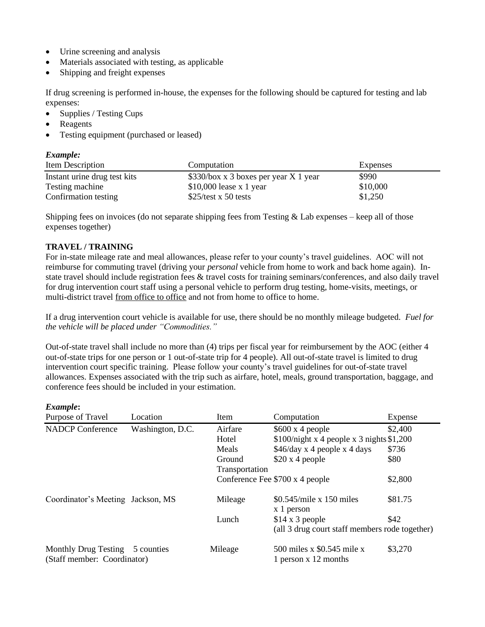- Urine screening and analysis
- Materials associated with testing, as applicable
- Shipping and freight expenses

If drug screening is performed in-house, the expenses for the following should be captured for testing and lab expenses:

- Supplies / Testing Cups
- Reagents
- Testing equipment (purchased or leased)

## *Example:*

| Item Description             | Computation                           | Expenses |  |
|------------------------------|---------------------------------------|----------|--|
| Instant urine drug test kits | \$330/box x 3 boxes per year X 1 year | \$990    |  |
| Testing machine              | $$10,000$ lease x 1 year              | \$10,000 |  |
| Confirmation testing         | $$25/test \times 50$ tests            | \$1,250  |  |

Shipping fees on invoices (do not separate shipping fees from Testing  $&$  Lab expenses – keep all of those expenses together)

## **TRAVEL / TRAINING**

For in-state mileage rate and meal allowances, please refer to your county's travel guidelines. AOC will not reimburse for commuting travel (driving your *personal* vehicle from home to work and back home again). Instate travel should include registration fees & travel costs for training seminars/conferences, and also daily travel for drug intervention court staff using a personal vehicle to perform drug testing, home-visits, meetings, or multi-district travel from office to office and not from home to office to home.

If a drug intervention court vehicle is available for use, there should be no monthly mileage budgeted. *Fuel for the vehicle will be placed under "Commodities."*

Out-of-state travel shall include no more than (4) trips per fiscal year for reimbursement by the AOC (either 4 out-of-state trips for one person or 1 out-of-state trip for 4 people). All out-of-state travel is limited to drug intervention court specific training. Please follow your county's travel guidelines for out-of-state travel allowances. Expenses associated with the trip such as airfare, hotel, meals, ground transportation, baggage, and conference fees should be included in your estimation.

#### *Example***:**

| Purpose of Travel                                              | Location         | Item           | Computation                                        | Expense |
|----------------------------------------------------------------|------------------|----------------|----------------------------------------------------|---------|
| <b>NADCP Conference</b>                                        | Washington, D.C. | Airfare        | $$600 \times 4$ people                             | \$2,400 |
|                                                                |                  | Hotel          | $$100/night x 4 people x 3 nights $1,200$          |         |
|                                                                |                  | Meals          | $$46/day \times 4$ people x 4 days                 | \$736   |
|                                                                |                  | Ground         | \$20 x 4 people                                    | \$80    |
|                                                                |                  | Transportation |                                                    |         |
|                                                                |                  |                | Conference Fee \$700 x 4 people                    | \$2,800 |
| Coordinator's Meeting Jackson, MS                              |                  | Mileage        | $$0.545/mile \times 150$ miles<br>x 1 person       | \$81.75 |
|                                                                |                  | Lunch          | $$14 \times 3$ people                              | \$42    |
|                                                                |                  |                | (all 3 drug court staff members rode together)     |         |
| Monthly Drug Testing 5 counties<br>(Staff member: Coordinator) |                  | Mileage        | 500 miles x \$0.545 mile x<br>1 person x 12 months | \$3,270 |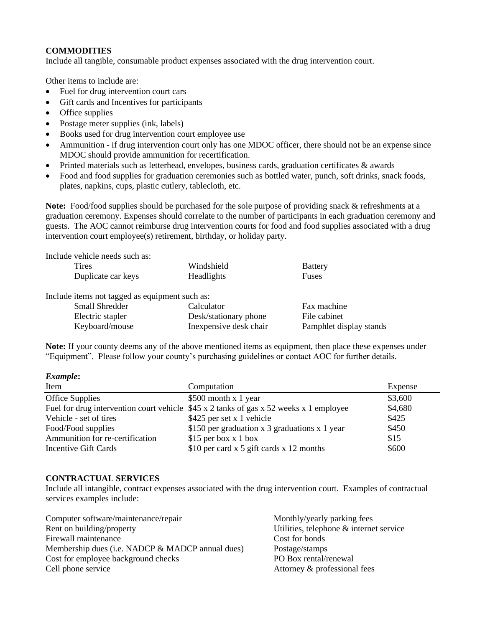## **COMMODITIES**

Include all tangible, consumable product expenses associated with the drug intervention court.

Other items to include are:

- Fuel for drug intervention court cars
- Gift cards and Incentives for participants
- Office supplies
- Postage meter supplies (ink, labels)
- Books used for drug intervention court employee use
- Ammunition if drug intervention court only has one MDOC officer, there should not be an expense since MDOC should provide ammunition for recertification.
- Printed materials such as letterhead, envelopes, business cards, graduation certificates & awards
- Food and food supplies for graduation ceremonies such as bottled water, punch, soft drinks, snack foods, plates, napkins, cups, plastic cutlery, tablecloth, etc.

**Note:** Food/food supplies should be purchased for the sole purpose of providing snack & refreshments at a graduation ceremony. Expenses should correlate to the number of participants in each graduation ceremony and guests. The AOC cannot reimburse drug intervention courts for food and food supplies associated with a drug intervention court employee(s) retirement, birthday, or holiday party.

Include vehicle needs such as:

| Tires              | Windshield        | <b>Battery</b> |  |
|--------------------|-------------------|----------------|--|
| Duplicate car keys | <b>Headlights</b> | Fuses          |  |
|                    |                   |                |  |

Include items not tagged as equipment such as:

| <b>Small Shredder</b> | Calculator              | Fax machine             |
|-----------------------|-------------------------|-------------------------|
| Electric stapler      | Desk/stationary phone   | File cabinet            |
| Keyboard/mouse        | In expensive desk chair | Pamphlet display stands |

**Note:** If your county deems any of the above mentioned items as equipment, then place these expenses under "Equipment". Please follow your county's purchasing guidelines or contact AOC for further details.

*Example***:**

| Item                            | Computation                                                                             | Expense |
|---------------------------------|-----------------------------------------------------------------------------------------|---------|
| Office Supplies                 | $$500$ month x 1 year                                                                   | \$3,600 |
|                                 | Fuel for drug intervention court vehicle $$45 x 2$ tanks of gas x 52 weeks x 1 employee | \$4,680 |
| Vehicle - set of tires          | \$425 per set x 1 vehicle                                                               | \$425   |
| Food/Food supplies              | \$150 per graduation $x$ 3 graduations $x$ 1 year                                       | \$450   |
| Ammunition for re-certification | $$15$ per box x 1 box                                                                   | \$15    |
| Incentive Gift Cards            | \$10 per card $x$ 5 gift cards $x$ 12 months                                            | \$600   |

#### **CONTRACTUAL SERVICES**

Include all intangible, contract expenses associated with the drug intervention court. Examples of contractual services examples include:

| Computer software/maintenance/repair             | Monthly/yearly parking fees             |
|--------------------------------------------------|-----------------------------------------|
| Rent on building/property                        | Utilities, telephone & internet service |
| Firewall maintenance                             | Cost for bonds                          |
| Membership dues (i.e. NADCP & MADCP annual dues) | Postage/stamps                          |
| Cost for employee background checks              | PO Box rental/renewal                   |
| Cell phone service                               | Attorney & professional fees            |